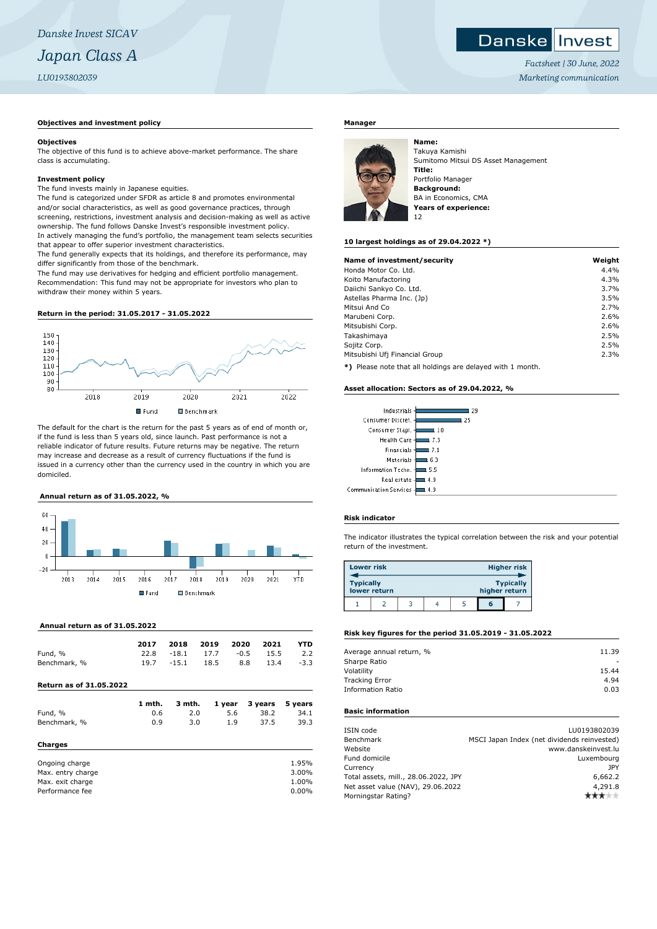# **Danskellnyest**

*Factsheet | 30 June, 2022 Marketing communication*

### **Objectives and investment policy**

#### **Objectives**

The objective of this fund is to achieve above-market performance. The share class is accumulating.

#### **Investment policy**

The fund invests mainly in Japanese equities.

The fund is categorized under SFDR as article 8 and promotes environmental and/or social characteristics, as well as good governance practices, through screening, restrictions, investment analysis and decision-making as well as active ownership. The fund follows Danske Invest's responsible investment policy. In actively managing the fund's portfolio, the management team selects securities that appear to offer superior investment characteristics.

The fund generally expects that its holdings, and therefore its performance, may differ significantly from those of the benchmark.

The fund may use derivatives for hedging and efficient portfolio management. Recommendation: This fund may not be appropriate for investors who plan to withdraw their money within 5 years.

#### **Return in the period: 31.05.2017 - 31.05.2022**



The default for the chart is the return for the past 5 years as of end of month or, if the fund is less than 5 years old, since launch. Past performance is not a reliable indicator of future results. Future returns may be negative. The return may increase and decrease as a result of currency fluctuations if the fund is issued in a currency other than the currency used in the country in which you are domiciled.

#### **Annual return as of 31.05.2022, %**



#### **Annual return as of 31.05.2022**

|              | 2017 | 2018    | 2019            | 2020 | 2021      | YTD    |
|--------------|------|---------|-----------------|------|-----------|--------|
| Fund, %      |      |         | 22.8 -18.1 17.7 |      | -0.5 15.5 | 2.2    |
| Benchmark, % | 19.7 | $-15.1$ | 18.5            | 8.8  | 13.4      | $-3.3$ |

**Return as of 31.05.2022**

| 1 mth. | 3 mth. | 1 year | 3 years | 5 years |
|--------|--------|--------|---------|---------|
| 0.6    | 2.0    | 5.6    | 38.2    | 34.1    |
| 0.9    | 3.0    | 1.9    | 37.5    | 39.3    |
|        |        |        |         |         |
|        |        |        |         | 1.95%   |
|        |        |        |         | 3.00%   |
|        |        |        |         | 1.00%   |
|        |        |        |         | 0.00%   |
|        |        |        |         |         |

#### **Manager**



**Name:** Takuya Kamishi Sumitomo Mitsui DS Asset Management **Title:** Portfolio Manager **Background:** BA in Economics, CMA **Years of experience:** 12

#### **10 largest holdings as of 29.04.2022 \*)**

| Name of investment/security               | Weight |
|-------------------------------------------|--------|
| Honda Motor Co. Ltd.                      | 4.4%   |
| Koito Manufactoring                       | 4.3%   |
| Daiichi Sankyo Co. Ltd.                   | 3.7%   |
| Astellas Pharma Inc. (Jp)                 | 3.5%   |
| Mitsui And Co                             | 2.7%   |
| Marubeni Corp.                            | 2.6%   |
| Mitsubishi Corp.                          | 2.6%   |
| Takashimaya                               | 2.5%   |
| Sojitz Corp.                              | 2.5%   |
| Mitsubishi Ufi Financial Group            | 2.3%   |
| $-1.8$ $-1.1$ $-1.1$ $-1.1$ $-1.1$ $-1.1$ |        |

**\*)** Please note that all holdings are delayed with 1 month.

#### **Asset allocation: Sectors as of 29.04.2022, %**

| Industrials                     | 29  |
|---------------------------------|-----|
| Consumer Discret. -             | 25  |
| Consumer Stapl. -               | 10  |
| Health Care -                   | 7.3 |
| Financials -                    | 7.1 |
| Materials -                     | 6.3 |
| Information Techn. -            | 5.5 |
| Real estate -                   | 4.9 |
| <b>Communication Services -</b> | 4.9 |

#### **Risk indicator**

The indicator illustrates the typical correlation between the risk and your potential return of the investment.

| <b>Lower risk</b>                |  |  |               |                  | <b>Higher risk</b> |
|----------------------------------|--|--|---------------|------------------|--------------------|
| <b>Typically</b><br>lower return |  |  | higher return | <b>Typically</b> |                    |
|                                  |  |  |               | G                |                    |

## **Risk key figures for the period 31.05.2019 - 31.05.2022**

| Average annual return, % | 11.39 |
|--------------------------|-------|
| Sharpe Ratio             |       |
| Volatility               | 15.44 |
| <b>Tracking Error</b>    | 4.94  |
| <b>Information Ratio</b> | 0.03  |
|                          |       |

# **Basic information**

| ISIN code                            | LU0193802039                                |
|--------------------------------------|---------------------------------------------|
| Benchmark                            | MSCI Japan Index (net dividends reinvested) |
| Website                              | www.danskeinvest.lu                         |
| Fund domicile                        | Luxembourg                                  |
| Currency                             | JPY                                         |
| Total assets, mill., 28.06.2022, JPY | 6,662.2                                     |
| Net asset value (NAV), 29.06.2022    | 4,291.8                                     |
| Morningstar Rating?                  |                                             |